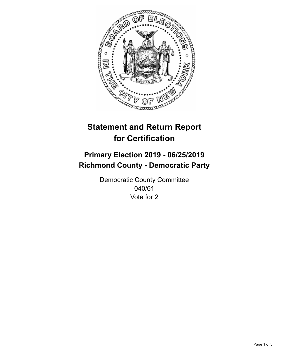

## **Statement and Return Report for Certification**

## **Primary Election 2019 - 06/25/2019 Richmond County - Democratic Party**

Democratic County Committee 040/61 Vote for 2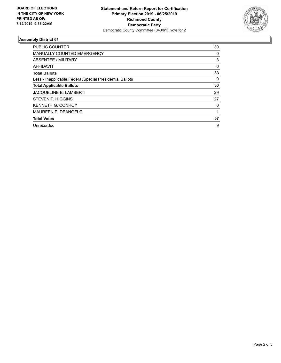

## **Assembly District 61**

| <b>PUBLIC COUNTER</b>                                    | 30       |
|----------------------------------------------------------|----------|
| <b>MANUALLY COUNTED EMERGENCY</b>                        | 0        |
| ABSENTEE / MILITARY                                      | 3        |
| AFFIDAVIT                                                | $\Omega$ |
| <b>Total Ballots</b>                                     | 33       |
| Less - Inapplicable Federal/Special Presidential Ballots | 0        |
| <b>Total Applicable Ballots</b>                          | 33       |
| <b>JACQUELINE E. LAMBERTI</b>                            | 29       |
| STEVEN T. HIGGINS                                        | 27       |
| <b>KENNETH G. CONROY</b>                                 | 0        |
| <b>MAUREEN P. DEANGELO</b>                               |          |
| <b>Total Votes</b>                                       | 57       |
| Unrecorded                                               | 9        |